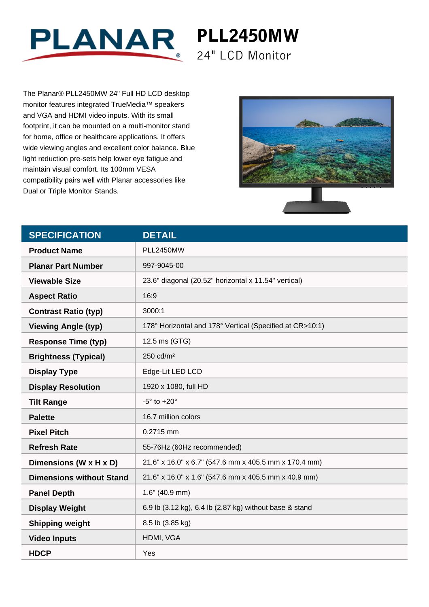

PLL2450MW 24" LCD Monitor

The Planar® PLL2450MW 24" Full HD LCD desktop monitor features integrated TrueMedia™ speakers and VGA and HDMI video inputs. With its small footprint, it can be mounted on a multi-monitor stand for home, office or healthcare applications. It offers wide viewing angles and excellent color balance. Blue light reduction pre-sets help lower eye fatigue and maintain visual comfort. Its 100mm VESA compatibility pairs well with Planar accessories like Dual or Triple Monitor Stands.



| <b>SPECIFICATION</b>            | <b>DETAIL</b>                                            |
|---------------------------------|----------------------------------------------------------|
| <b>Product Name</b>             | <b>PLL2450MW</b>                                         |
| <b>Planar Part Number</b>       | 997-9045-00                                              |
| <b>Viewable Size</b>            | 23.6" diagonal (20.52" horizontal x 11.54" vertical)     |
| <b>Aspect Ratio</b>             | 16:9                                                     |
| <b>Contrast Ratio (typ)</b>     | 3000:1                                                   |
| <b>Viewing Angle (typ)</b>      | 178° Horizontal and 178° Vertical (Specified at CR>10:1) |
| <b>Response Time (typ)</b>      | 12.5 ms (GTG)                                            |
| <b>Brightness (Typical)</b>     | 250 cd/m <sup>2</sup>                                    |
| <b>Display Type</b>             | Edge-Lit LED LCD                                         |
| <b>Display Resolution</b>       | 1920 x 1080, full HD                                     |
| <b>Tilt Range</b>               | $-5^\circ$ to $+20^\circ$                                |
| <b>Palette</b>                  | 16.7 million colors                                      |
| <b>Pixel Pitch</b>              | 0.2715 mm                                                |
| <b>Refresh Rate</b>             | 55-76Hz (60Hz recommended)                               |
| Dimensions (W x H x D)          | 21.6" x 16.0" x 6.7" (547.6 mm x 405.5 mm x 170.4 mm)    |
| <b>Dimensions without Stand</b> | 21.6" x 16.0" x 1.6" (547.6 mm x 405.5 mm x 40.9 mm)     |
| <b>Panel Depth</b>              | $1.6"$ (40.9 mm)                                         |
| <b>Display Weight</b>           | 6.9 lb (3.12 kg), 6.4 lb (2.87 kg) without base & stand  |
| <b>Shipping weight</b>          | 8.5 lb (3.85 kg)                                         |
| <b>Video Inputs</b>             | HDMI, VGA                                                |
| <b>HDCP</b>                     | Yes                                                      |